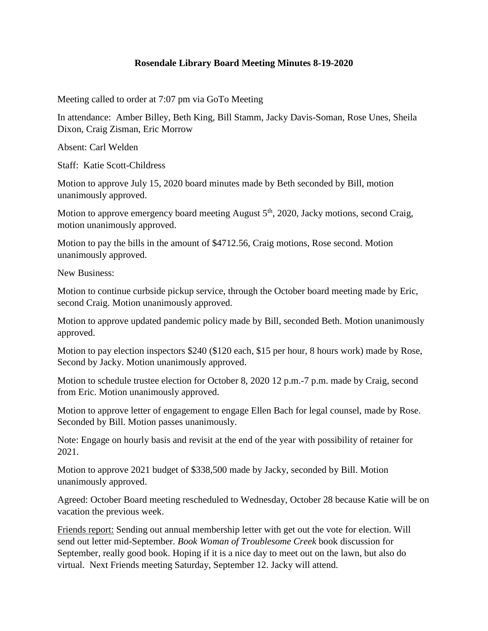## **Rosendale Library Board Meeting Minutes 8-19-2020**

Meeting called to order at 7:07 pm via GoTo Meeting

In attendance: Amber Billey, Beth King, Bill Stamm, Jacky Davis-Soman, Rose Unes, Sheila Dixon, Craig Zisman, Eric Morrow

Absent: Carl Welden

Staff: Katie Scott-Childress

Motion to approve July 15, 2020 board minutes made by Beth seconded by Bill, motion unanimously approved.

Motion to approve emergency board meeting August  $5<sup>th</sup>$ , 2020, Jacky motions, second Craig, motion unanimously approved.

Motion to pay the bills in the amount of \$4712.56, Craig motions, Rose second. Motion unanimously approved.

New Business:

Motion to continue curbside pickup service, through the October board meeting made by Eric, second Craig. Motion unanimously approved.

Motion to approve updated pandemic policy made by Bill, seconded Beth. Motion unanimously approved.

Motion to pay election inspectors \$240 (\$120 each, \$15 per hour, 8 hours work) made by Rose, Second by Jacky. Motion unanimously approved.

Motion to schedule trustee election for October 8, 2020 12 p.m.-7 p.m. made by Craig, second from Eric. Motion unanimously approved.

Motion to approve letter of engagement to engage Ellen Bach for legal counsel, made by Rose. Seconded by Bill. Motion passes unanimously.

Note: Engage on hourly basis and revisit at the end of the year with possibility of retainer for 2021.

Motion to approve 2021 budget of \$338,500 made by Jacky, seconded by Bill. Motion unanimously approved.

Agreed: October Board meeting rescheduled to Wednesday, October 28 because Katie will be on vacation the previous week.

Friends report: Sending out annual membership letter with get out the vote for election. Will send out letter mid-September. *Book Woman of Troublesome Creek* book discussion for September, really good book. Hoping if it is a nice day to meet out on the lawn, but also do virtual. Next Friends meeting Saturday, September 12. Jacky will attend.